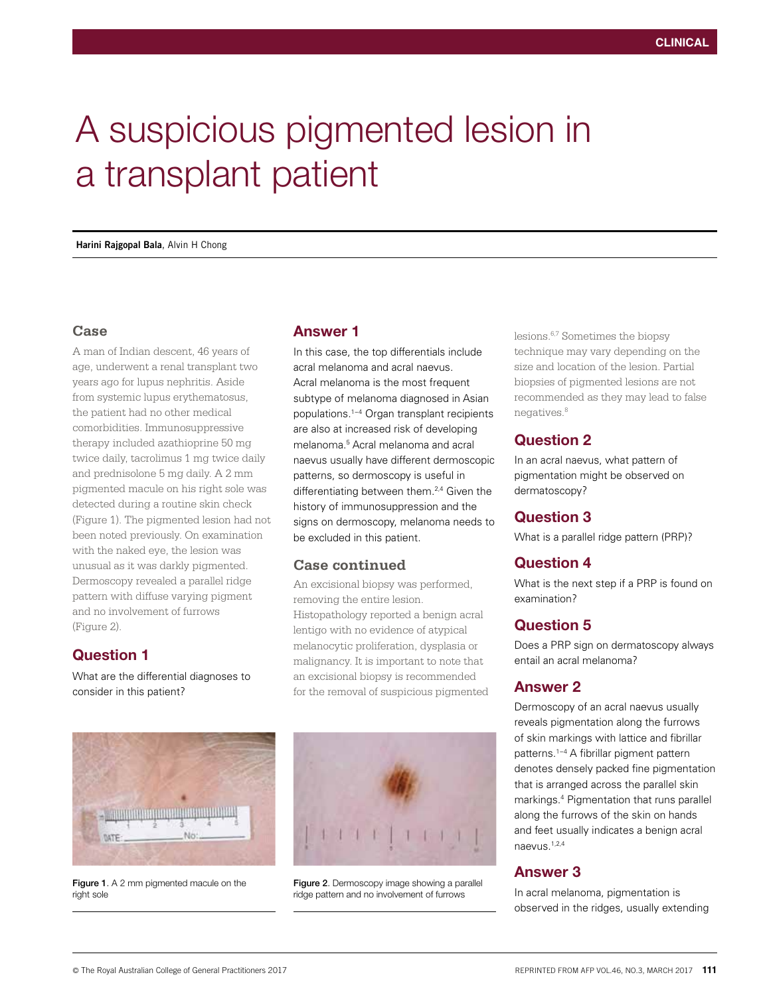# A suspicious pigmented lesion in a transplant patient

**Harini Rajgopal Bala**, Alvin H Chong

#### **Case**

A man of Indian descent, 46 years of age, underwent a renal transplant two years ago for lupus nephritis. Aside from systemic lupus erythematosus, the patient had no other medical comorbidities. Immunosuppressive therapy included azathioprine 50 mg twice daily, tacrolimus 1 mg twice daily and prednisolone 5 mg daily. A 2 mm pigmented macule on his right sole was detected during a routine skin check (Figure 1). The pigmented lesion had not been noted previously. On examination with the naked eye, the lesion was unusual as it was darkly pigmented. Dermoscopy revealed a parallel ridge pattern with diffuse varying pigment and no involvement of furrows (Figure 2).

## Question 1

What are the differential diagnoses to consider in this patient?

## Answer 1

In this case, the top differentials include acral melanoma and acral naevus. Acral melanoma is the most frequent subtype of melanoma diagnosed in Asian populations.1−4 Organ transplant recipients are also at increased risk of developing melanoma.5 Acral melanoma and acral naevus usually have different dermoscopic patterns, so dermoscopy is useful in differentiating between them.<sup>2,4</sup> Given the history of immunosuppression and the signs on dermoscopy, melanoma needs to be excluded in this patient.

#### **Case continued**

An excisional biopsy was performed, removing the entire lesion. Histopathology reported a benign acral lentigo with no evidence of atypical melanocytic proliferation, dysplasia or malignancy. It is important to note that an excisional biopsy is recommended for the removal of suspicious pigmented



Figure 1. A 2 mm pigmented macule on the right sole



Figure 2. Dermoscopy image showing a parallel ridge pattern and no involvement of furrows

lesions.6,7 Sometimes the biopsy technique may vary depending on the size and location of the lesion. Partial biopsies of pigmented lesions are not recommended as they may lead to false negatives.<sup>8</sup>

## Question 2

In an acral naevus, what pattern of pigmentation might be observed on dermatoscopy?

#### Question 3

What is a parallel ridge pattern (PRP)?

## Question 4

What is the next step if a PRP is found on examination?

# Question 5

Does a PRP sign on dermatoscopy always entail an acral melanoma?

#### Answer 2

Dermoscopy of an acral naevus usually reveals pigmentation along the furrows of skin markings with lattice and fibrillar patterns.1−4 A fibrillar pigment pattern denotes densely packed fine pigmentation that is arranged across the parallel skin markings.4 Pigmentation that runs parallel along the furrows of the skin on hands and feet usually indicates a benign acral naevus.1,2,4

## Answer 3

In acral melanoma, pigmentation is observed in the ridges, usually extending